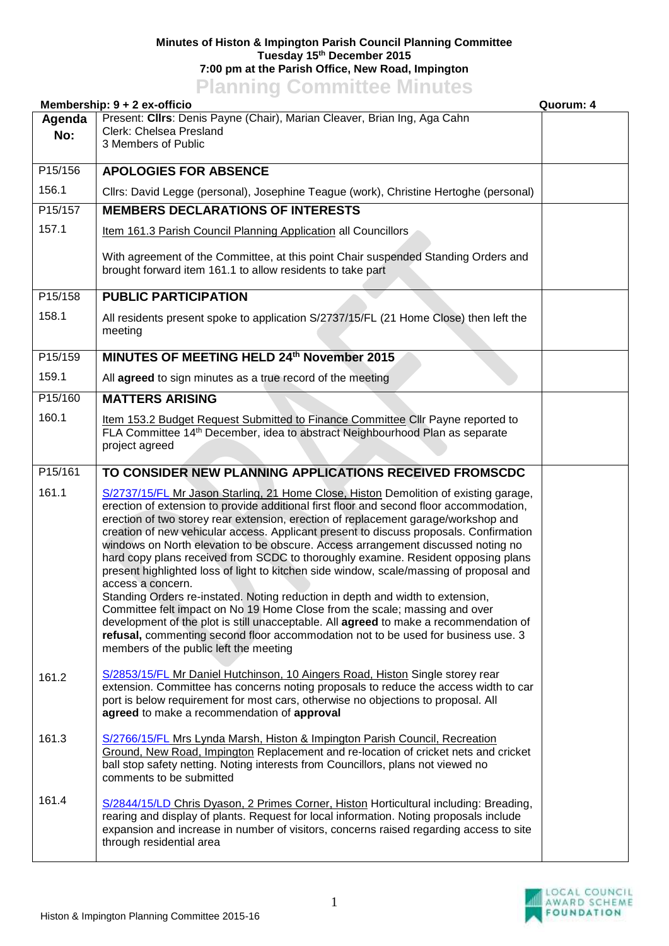## **Minutes of Histon & Impington Parish Council Planning Committee Tuesday 15th December 2015 7:00 pm at the Parish Office, New Road, Impington Planning Committee Minutes**

| Membership: 9 + 2 ex-officio<br>Quorum: 4 |                                                                                                                                                                                                                                                                                                                                                                                                                                                                                                                                                                                                                                                                                                                                                                                                                                                                                                                                                                                                                                                  |  |  |
|-------------------------------------------|--------------------------------------------------------------------------------------------------------------------------------------------------------------------------------------------------------------------------------------------------------------------------------------------------------------------------------------------------------------------------------------------------------------------------------------------------------------------------------------------------------------------------------------------------------------------------------------------------------------------------------------------------------------------------------------------------------------------------------------------------------------------------------------------------------------------------------------------------------------------------------------------------------------------------------------------------------------------------------------------------------------------------------------------------|--|--|
| Agenda<br>No:                             | Present: Clirs: Denis Payne (Chair), Marian Cleaver, Brian Ing, Aga Cahn<br>Clerk: Chelsea Presland<br>3 Members of Public                                                                                                                                                                                                                                                                                                                                                                                                                                                                                                                                                                                                                                                                                                                                                                                                                                                                                                                       |  |  |
| P15/156                                   | <b>APOLOGIES FOR ABSENCE</b>                                                                                                                                                                                                                                                                                                                                                                                                                                                                                                                                                                                                                                                                                                                                                                                                                                                                                                                                                                                                                     |  |  |
| 156.1                                     | Cllrs: David Legge (personal), Josephine Teague (work), Christine Hertoghe (personal)                                                                                                                                                                                                                                                                                                                                                                                                                                                                                                                                                                                                                                                                                                                                                                                                                                                                                                                                                            |  |  |
| P15/157                                   | <b>MEMBERS DECLARATIONS OF INTERESTS</b>                                                                                                                                                                                                                                                                                                                                                                                                                                                                                                                                                                                                                                                                                                                                                                                                                                                                                                                                                                                                         |  |  |
| 157.1                                     | Item 161.3 Parish Council Planning Application all Councillors                                                                                                                                                                                                                                                                                                                                                                                                                                                                                                                                                                                                                                                                                                                                                                                                                                                                                                                                                                                   |  |  |
|                                           | With agreement of the Committee, at this point Chair suspended Standing Orders and<br>brought forward item 161.1 to allow residents to take part                                                                                                                                                                                                                                                                                                                                                                                                                                                                                                                                                                                                                                                                                                                                                                                                                                                                                                 |  |  |
| P15/158                                   | <b>PUBLIC PARTICIPATION</b>                                                                                                                                                                                                                                                                                                                                                                                                                                                                                                                                                                                                                                                                                                                                                                                                                                                                                                                                                                                                                      |  |  |
| 158.1                                     | All residents present spoke to application S/2737/15/FL (21 Home Close) then left the<br>meeting                                                                                                                                                                                                                                                                                                                                                                                                                                                                                                                                                                                                                                                                                                                                                                                                                                                                                                                                                 |  |  |
| P15/159                                   | MINUTES OF MEETING HELD 24th November 2015                                                                                                                                                                                                                                                                                                                                                                                                                                                                                                                                                                                                                                                                                                                                                                                                                                                                                                                                                                                                       |  |  |
| 159.1                                     | All agreed to sign minutes as a true record of the meeting                                                                                                                                                                                                                                                                                                                                                                                                                                                                                                                                                                                                                                                                                                                                                                                                                                                                                                                                                                                       |  |  |
| P15/160                                   | <b>MATTERS ARISING</b>                                                                                                                                                                                                                                                                                                                                                                                                                                                                                                                                                                                                                                                                                                                                                                                                                                                                                                                                                                                                                           |  |  |
| 160.1                                     | Item 153.2 Budget Request Submitted to Finance Committee Cllr Payne reported to<br>FLA Committee 14 <sup>th</sup> December, idea to abstract Neighbourhood Plan as separate<br>project agreed                                                                                                                                                                                                                                                                                                                                                                                                                                                                                                                                                                                                                                                                                                                                                                                                                                                    |  |  |
| P15/161                                   | TO CONSIDER NEW PLANNING APPLICATIONS RECEIVED FROMSCDC                                                                                                                                                                                                                                                                                                                                                                                                                                                                                                                                                                                                                                                                                                                                                                                                                                                                                                                                                                                          |  |  |
| 161.1                                     | S/2737/15/FL Mr Jason Starling, 21 Home Close, Histon Demolition of existing garage,<br>erection of extension to provide additional first floor and second floor accommodation,<br>erection of two storey rear extension, erection of replacement garage/workshop and<br>creation of new vehicular access. Applicant present to discuss proposals. Confirmation<br>windows on North elevation to be obscure. Access arrangement discussed noting no<br>hard copy plans received from SCDC to thoroughly examine. Resident opposing plans<br>present highlighted loss of light to kitchen side window, scale/massing of proposal and<br>access a concern.<br>Standing Orders re-instated. Noting reduction in depth and width to extension,<br>Committee felt impact on No 19 Home Close from the scale; massing and over<br>development of the plot is still unacceptable. All agreed to make a recommendation of<br>refusal, commenting second floor accommodation not to be used for business use. 3<br>members of the public left the meeting |  |  |
| 161.2                                     | S/2853/15/FL Mr Daniel Hutchinson, 10 Aingers Road, Histon Single storey rear<br>extension. Committee has concerns noting proposals to reduce the access width to car<br>port is below requirement for most cars, otherwise no objections to proposal. All<br>agreed to make a recommendation of approval                                                                                                                                                                                                                                                                                                                                                                                                                                                                                                                                                                                                                                                                                                                                        |  |  |
| 161.3                                     | S/2766/15/FL Mrs Lynda Marsh, Histon & Impington Parish Council, Recreation<br>Ground, New Road, Impington Replacement and re-location of cricket nets and cricket<br>ball stop safety netting. Noting interests from Councillors, plans not viewed no<br>comments to be submitted                                                                                                                                                                                                                                                                                                                                                                                                                                                                                                                                                                                                                                                                                                                                                               |  |  |
| 161.4                                     | S/2844/15/LD Chris Dyason, 2 Primes Corner, Histon Horticultural including: Breading,<br>rearing and display of plants. Request for local information. Noting proposals include<br>expansion and increase in number of visitors, concerns raised regarding access to site<br>through residential area                                                                                                                                                                                                                                                                                                                                                                                                                                                                                                                                                                                                                                                                                                                                            |  |  |